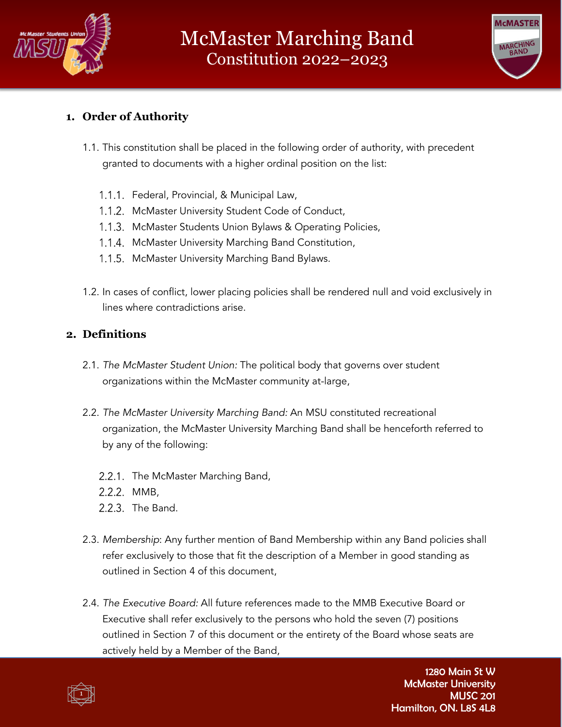



# **1. Order of Authority**

- 1.1. This constitution shall be placed in the following order of authority, with precedent granted to documents with a higher ordinal position on the list:
	- 1.1.1. Federal, Provincial, & Municipal Law,
	- 1.1.2. McMaster University Student Code of Conduct,
	- 1.1.3. McMaster Students Union Bylaws & Operating Policies,
	- 1.1.4. McMaster University Marching Band Constitution,
	- 1.1.5. McMaster University Marching Band Bylaws.
- 1.2. In cases of conflict, lower placing policies shall be rendered null and void exclusively in lines where contradictions arise.

### **2. Definitions**

- 2.1. *The McMaster Student Union:* The political body that governs over student organizations within the McMaster community at-large,
- 2.2. *The McMaster University Marching Band:* An MSU constituted recreational organization, the McMaster University Marching Band shall be henceforth referred to by any of the following:
	- 2.2.1. The McMaster Marching Band,
	- 2.2.2. MMB,
	- 2.2.3. The Band.
- 2.3. *Membership*: Any further mention of Band Membership within any Band policies shall refer exclusively to those that fit the description of a Member in good standing as outlined in Section 4 of this document,
- 2.4. *The Executive Board:* All future references made to the MMB Executive Board or Executive shall refer exclusively to the persons who hold the seven (7) positions outlined in Section 7 of this document or the entirety of the Board whose seats are actively held by a Member of the Band,

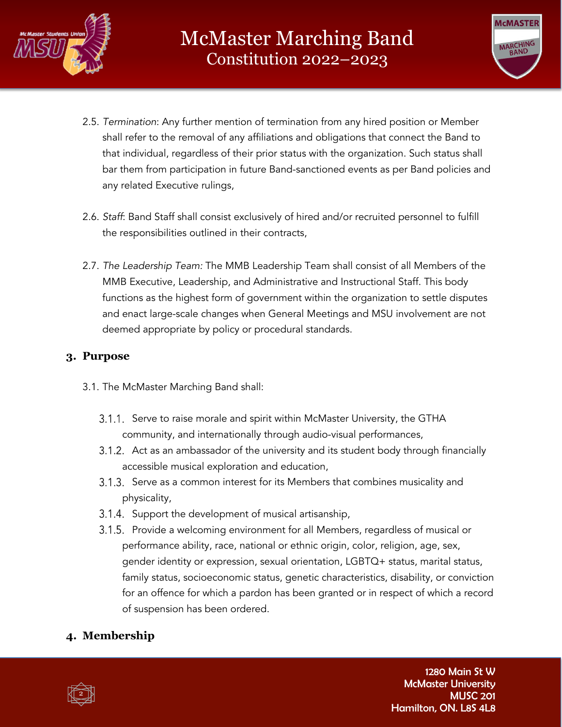



- 2.5. *Termination*: Any further mention of termination from any hired position or Member shall refer to the removal of any affiliations and obligations that connect the Band to that individual, regardless of their prior status with the organization. Such status shall bar them from participation in future Band-sanctioned events as per Band policies and any related Executive rulings,
- 2.6. *Staff*: Band Staff shall consist exclusively of hired and/or recruited personnel to fulfill the responsibilities outlined in their contracts,
- 2.7. *The Leadership Team:* The MMB Leadership Team shall consist of all Members of the MMB Executive, Leadership, and Administrative and Instructional Staff. This body functions as the highest form of government within the organization to settle disputes and enact large-scale changes when General Meetings and MSU involvement are not deemed appropriate by policy or procedural standards.

### **3. Purpose**

- 3.1. The McMaster Marching Band shall:
	- 3.1.1. Serve to raise morale and spirit within McMaster University, the GTHA community, and internationally through audio-visual performances,
	- Act as an ambassador of the university and its student body through financially accessible musical exploration and education,
	- Serve as a common interest for its Members that combines musicality and physicality,
	- 3.1.4. Support the development of musical artisanship,
	- 3.1.5. Provide a welcoming environment for all Members, regardless of musical or performance ability, race, national or ethnic origin, color, religion, age, sex, gender identity or expression, sexual orientation, LGBTQ+ status, marital status, family status, socioeconomic status, genetic characteristics, disability, or conviction for an offence for which a pardon has been granted or in respect of which a record of suspension has been ordered.

# **4. Membership**

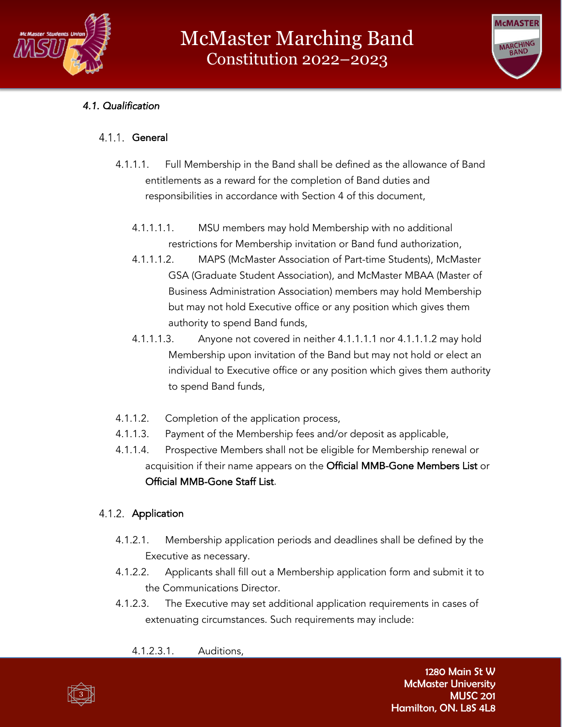



# *4.1. Qualification*

#### 4.1.1. General

- 4.1.1.1. Full Membership in the Band shall be defined as the allowance of Band entitlements as a reward for the completion of Band duties and responsibilities in accordance with Section 4 of this document,
	- 4.1.1.1.1. MSU members may hold Membership with no additional restrictions for Membership invitation or Band fund authorization,
	- 4.1.1.1.2. MAPS (McMaster Association of Part-time Students), McMaster GSA (Graduate Student Association), and McMaster MBAA (Master of Business Administration Association) members may hold Membership but may not hold Executive office or any position which gives them authority to spend Band funds,
	- 4.1.1.1.3. Anyone not covered in neither 4.1.1.1.1 nor 4.1.1.1.2 may hold Membership upon invitation of the Band but may not hold or elect an individual to Executive office or any position which gives them authority to spend Band funds,
- 4.1.1.2. Completion of the application process,
- 4.1.1.3. Payment of the Membership fees and/or deposit as applicable,
- 4.1.1.4. Prospective Members shall not be eligible for Membership renewal or acquisition if their name appears on the Official MMB-Gone Members List or Official MMB-Gone Staff List.

### 4.1.2. Application

- 4.1.2.1. Membership application periods and deadlines shall be defined by the Executive as necessary.
- 4.1.2.2. Applicants shall fill out a Membership application form and submit it to the Communications Director.
- 4.1.2.3. The Executive may set additional application requirements in cases of extenuating circumstances. Such requirements may include:
	- 4.1.2.3.1. Auditions,

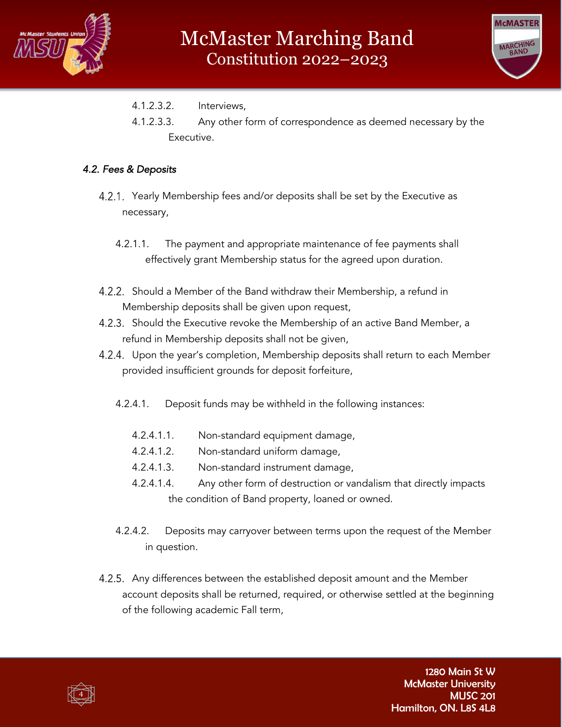



- 4.1.2.3.2. Interviews,
- 4.1.2.3.3. Any other form of correspondence as deemed necessary by the Executive.

#### *4.2. Fees & Deposits*

- 4.2.1. Yearly Membership fees and/or deposits shall be set by the Executive as necessary,
	- 4.2.1.1. The payment and appropriate maintenance of fee payments shall effectively grant Membership status for the agreed upon duration.
- 4.2.2. Should a Member of the Band withdraw their Membership, a refund in Membership deposits shall be given upon request,
- 4.2.3. Should the Executive revoke the Membership of an active Band Member, a refund in Membership deposits shall not be given,
- 4.2.4. Upon the year's completion, Membership deposits shall return to each Member provided insufficient grounds for deposit forfeiture,
	- 4.2.4.1. Deposit funds may be withheld in the following instances:
		- 4.2.4.1.1. Non-standard equipment damage,
		- 4.2.4.1.2. Non-standard uniform damage,
		- 4.2.4.1.3. Non-standard instrument damage,
		- 4.2.4.1.4. Any other form of destruction or vandalism that directly impacts the condition of Band property, loaned or owned.
	- 4.2.4.2. Deposits may carryover between terms upon the request of the Member in question.
- 4.2.5. Any differences between the established deposit amount and the Member account deposits shall be returned, required, or otherwise settled at the beginning of the following academic Fall term,

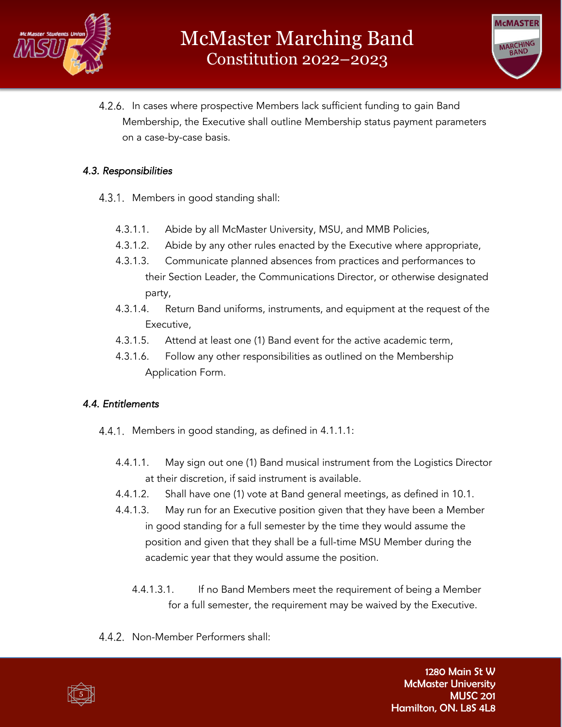



4.2.6. In cases where prospective Members lack sufficient funding to gain Band Membership, the Executive shall outline Membership status payment parameters on a case-by-case basis.

#### *4.3. Responsibilities*

- 4.3.1. Members in good standing shall:
	- 4.3.1.1. Abide by all McMaster University, MSU, and MMB Policies,
	- 4.3.1.2. Abide by any other rules enacted by the Executive where appropriate,
	- 4.3.1.3. Communicate planned absences from practices and performances to their Section Leader, the Communications Director, or otherwise designated party,
	- 4.3.1.4. Return Band uniforms, instruments, and equipment at the request of the Executive,
	- 4.3.1.5. Attend at least one (1) Band event for the active academic term,
	- 4.3.1.6. Follow any other responsibilities as outlined on the Membership Application Form.

### *4.4. Entitlements*

- 4.4.1. Members in good standing, as defined in 4.1.1.1:
	- 4.4.1.1. May sign out one (1) Band musical instrument from the Logistics Director at their discretion, if said instrument is available.
	- 4.4.1.2. Shall have one (1) vote at Band general meetings, as defined in 10.1.
	- 4.4.1.3. May run for an Executive position given that they have been a Member in good standing for a full semester by the time they would assume the position and given that they shall be a full-time MSU Member during the academic year that they would assume the position.
		- 4.4.1.3.1. If no Band Members meet the requirement of being a Member for a full semester, the requirement may be waived by the Executive.
- 4.4.2. Non-Member Performers shall:

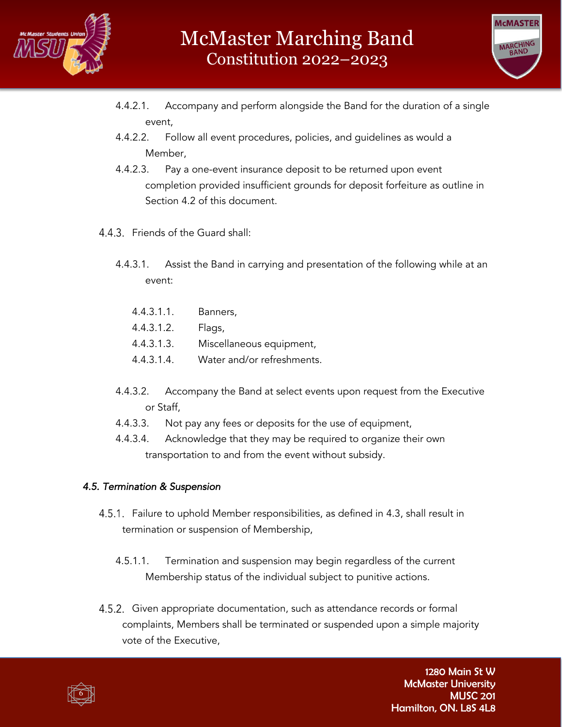



- 4.4.2.1. Accompany and perform alongside the Band for the duration of a single event,
- 4.4.2.2. Follow all event procedures, policies, and guidelines as would a Member,
- 4.4.2.3. Pay a one-event insurance deposit to be returned upon event completion provided insufficient grounds for deposit forfeiture as outline in Section 4.2 of this document.
- 4.4.3. Friends of the Guard shall:
	- 4.4.3.1. Assist the Band in carrying and presentation of the following while at an event:
		- 4.4.3.1.1. Banners,
		- 4.4.3.1.2. Flags,
		- 4.4.3.1.3. Miscellaneous equipment,
		- 4.4.3.1.4. Water and/or refreshments.
	- 4.4.3.2. Accompany the Band at select events upon request from the Executive or Staff,
	- 4.4.3.3. Not pay any fees or deposits for the use of equipment,
	- 4.4.3.4. Acknowledge that they may be required to organize their own transportation to and from the event without subsidy.

### *4.5. Termination & Suspension*

- 4.5.1. Failure to uphold Member responsibilities, as defined in 4.3, shall result in termination or suspension of Membership,
	- 4.5.1.1. Termination and suspension may begin regardless of the current Membership status of the individual subject to punitive actions.
- 4.5.2. Given appropriate documentation, such as attendance records or formal complaints, Members shall be terminated or suspended upon a simple majority vote of the Executive,

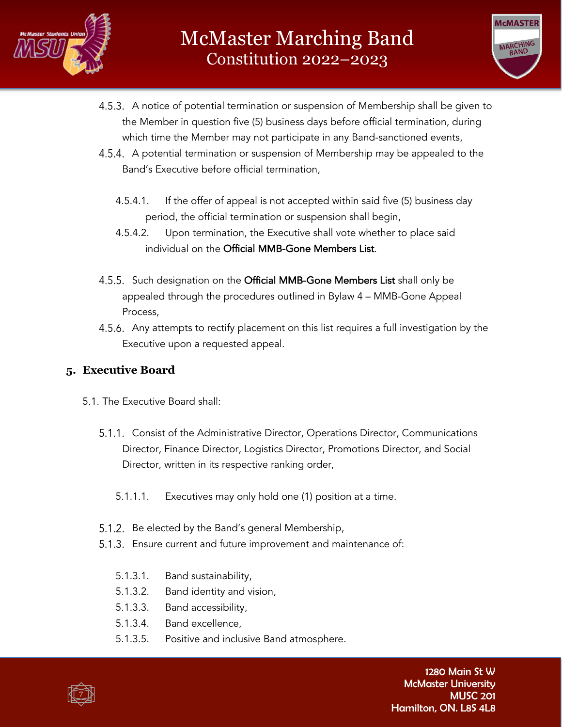



- 4.5.3. A notice of potential termination or suspension of Membership shall be given to the Member in question five (5) business days before official termination, during which time the Member may not participate in any Band-sanctioned events,
- 4.5.4. A potential termination or suspension of Membership may be appealed to the Band's Executive before official termination,
	- 4.5.4.1. If the offer of appeal is not accepted within said five (5) business day period, the official termination or suspension shall begin,
	- 4.5.4.2. Upon termination, the Executive shall vote whether to place said individual on the Official MMB-Gone Members List.
- 4.5.5. Such designation on the Official MMB-Gone Members List shall only be appealed through the procedures outlined in Bylaw 4 – MMB-Gone Appeal Process,
- 4.5.6. Any attempts to rectify placement on this list requires a full investigation by the Executive upon a requested appeal.

# **5. Executive Board**

- 5.1. The Executive Board shall:
	- 5.1.1. Consist of the Administrative Director, Operations Director, Communications Director, Finance Director, Logistics Director, Promotions Director, and Social Director, written in its respective ranking order,
		- 5.1.1.1. Executives may only hold one (1) position at a time.
	- 5.1.2. Be elected by the Band's general Membership,
	- 5.1.3. Ensure current and future improvement and maintenance of:
		- 5.1.3.1. Band sustainability,
		- 5.1.3.2. Band identity and vision,
		- 5.1.3.3. Band accessibility,
		- 5.1.3.4. Band excellence,
		- 5.1.3.5. Positive and inclusive Band atmosphere.

7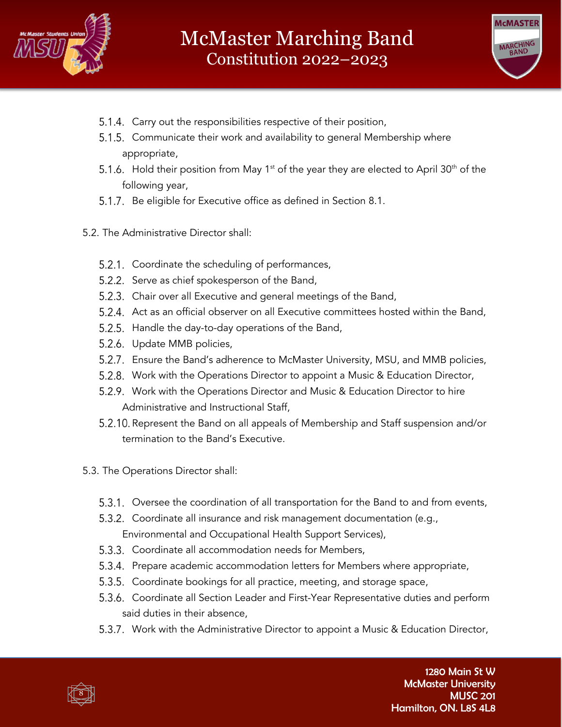



- 5.1.4. Carry out the responsibilities respective of their position,
- 5.1.5. Communicate their work and availability to general Membership where appropriate,
- 5.1.6. Hold their position from May 1<sup>st</sup> of the year they are elected to April 30<sup>th</sup> of the following year,
- 5.1.7. Be eligible for Executive office as defined in Section 8.1.
- 5.2. The Administrative Director shall:
	- 5.2.1. Coordinate the scheduling of performances,
	- 5.2.2. Serve as chief spokesperson of the Band,
	- 5.2.3. Chair over all Executive and general meetings of the Band,
	- 5.2.4. Act as an official observer on all Executive committees hosted within the Band,
	- 5.2.5. Handle the day-to-day operations of the Band,
	- 5.2.6. Update MMB policies,
	- Ensure the Band's adherence to McMaster University, MSU, and MMB policies,
	- Work with the Operations Director to appoint a Music & Education Director,
	- 5.2.9. Work with the Operations Director and Music & Education Director to hire Administrative and Instructional Staff,
	- 5.2.10. Represent the Band on all appeals of Membership and Staff suspension and/or termination to the Band's Executive.
- 5.3. The Operations Director shall:
	- 5.3.1. Oversee the coordination of all transportation for the Band to and from events,
	- 5.3.2. Coordinate all insurance and risk management documentation (e.g., Environmental and Occupational Health Support Services),
	- 5.3.3. Coordinate all accommodation needs for Members,
	- 5.3.4. Prepare academic accommodation letters for Members where appropriate,
	- 5.3.5. Coordinate bookings for all practice, meeting, and storage space,
	- 5.3.6. Coordinate all Section Leader and First-Year Representative duties and perform said duties in their absence,
	- 5.3.7. Work with the Administrative Director to appoint a Music & Education Director,

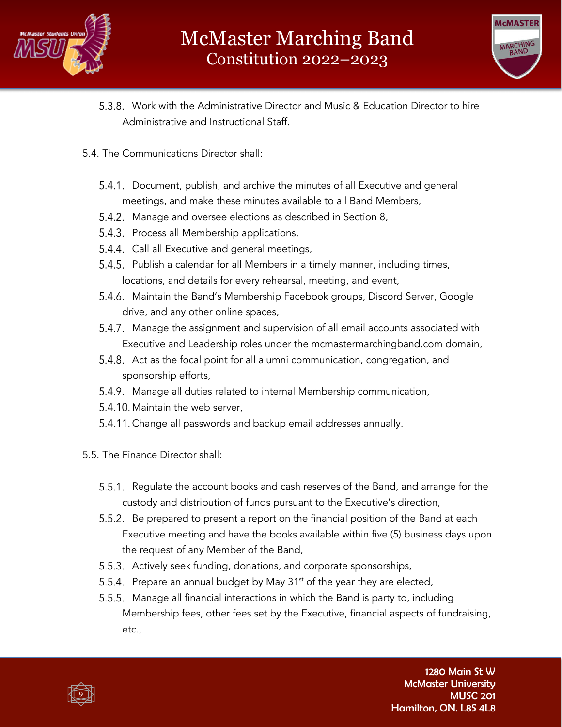



- Work with the Administrative Director and Music & Education Director to hire Administrative and Instructional Staff.
- 5.4. The Communications Director shall:
	- Document, publish, and archive the minutes of all Executive and general meetings, and make these minutes available to all Band Members,
	- 5.4.2. Manage and oversee elections as described in Section 8,
	- 5.4.3. Process all Membership applications,
	- 5.4.4. Call all Executive and general meetings,
	- 5.4.5. Publish a calendar for all Members in a timely manner, including times, locations, and details for every rehearsal, meeting, and event,
	- 5.4.6. Maintain the Band's Membership Facebook groups, Discord Server, Google drive, and any other online spaces,
	- 5.4.7. Manage the assignment and supervision of all email accounts associated with Executive and Leadership roles under the mcmastermarchingband.com domain,
	- 5.4.8. Act as the focal point for all alumni communication, congregation, and sponsorship efforts,
	- 5.4.9. Manage all duties related to internal Membership communication,
	- 5.4.10. Maintain the web server,
	- 5.4.11. Change all passwords and backup email addresses annually.
- 5.5. The Finance Director shall:
	- 5.5.1. Regulate the account books and cash reserves of the Band, and arrange for the custody and distribution of funds pursuant to the Executive's direction,
	- 5.5.2. Be prepared to present a report on the financial position of the Band at each Executive meeting and have the books available within five (5) business days upon the request of any Member of the Band,
	- 5.5.3. Actively seek funding, donations, and corporate sponsorships,
	- 5.5.4. Prepare an annual budget by May  $31<sup>st</sup>$  of the year they are elected,
	- 5.5.5. Manage all financial interactions in which the Band is party to, including Membership fees, other fees set by the Executive, financial aspects of fundraising, etc.,

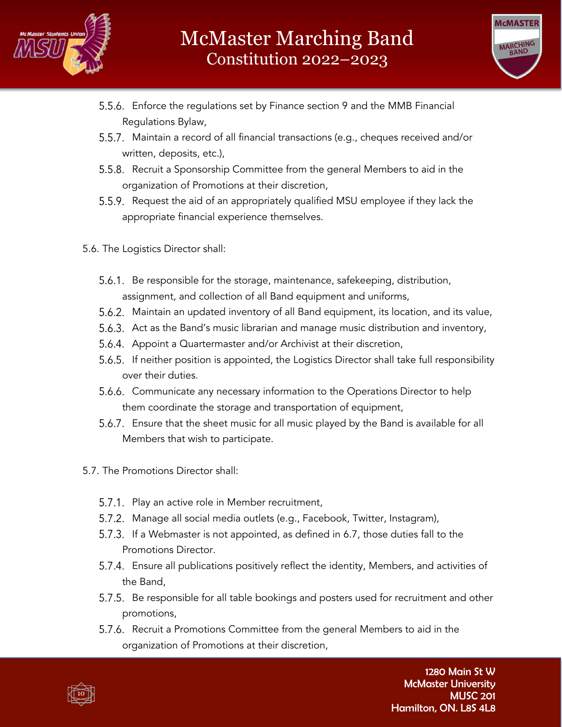



- Enforce the regulations set by Finance section 9 and the MMB Financial Regulations Bylaw,
- 5.5.7. Maintain a record of all financial transactions (e.g., cheques received and/or written, deposits, etc.),
- 5.5.8. Recruit a Sponsorship Committee from the general Members to aid in the organization of Promotions at their discretion,
- 5.5.9. Request the aid of an appropriately qualified MSU employee if they lack the appropriate financial experience themselves.
- 5.6. The Logistics Director shall:
	- 5.6.1. Be responsible for the storage, maintenance, safekeeping, distribution, assignment, and collection of all Band equipment and uniforms,
	- Maintain an updated inventory of all Band equipment, its location, and its value,
	- 5.6.3. Act as the Band's music librarian and manage music distribution and inventory,
	- 5.6.4. Appoint a Quartermaster and/or Archivist at their discretion,
	- 5.6.5. If neither position is appointed, the Logistics Director shall take full responsibility over their duties.
	- 5.6.6. Communicate any necessary information to the Operations Director to help them coordinate the storage and transportation of equipment,
	- Ensure that the sheet music for all music played by the Band is available for all Members that wish to participate.
- 5.7. The Promotions Director shall:
	- 5.7.1. Play an active role in Member recruitment,
	- 5.7.2. Manage all social media outlets (e.g., Facebook, Twitter, Instagram),
	- 5.7.3. If a Webmaster is not appointed, as defined in 6.7, those duties fall to the Promotions Director.
	- Ensure all publications positively reflect the identity, Members, and activities of the Band,
	- 5.7.5. Be responsible for all table bookings and posters used for recruitment and other promotions,
	- 5.7.6. Recruit a Promotions Committee from the general Members to aid in the organization of Promotions at their discretion,

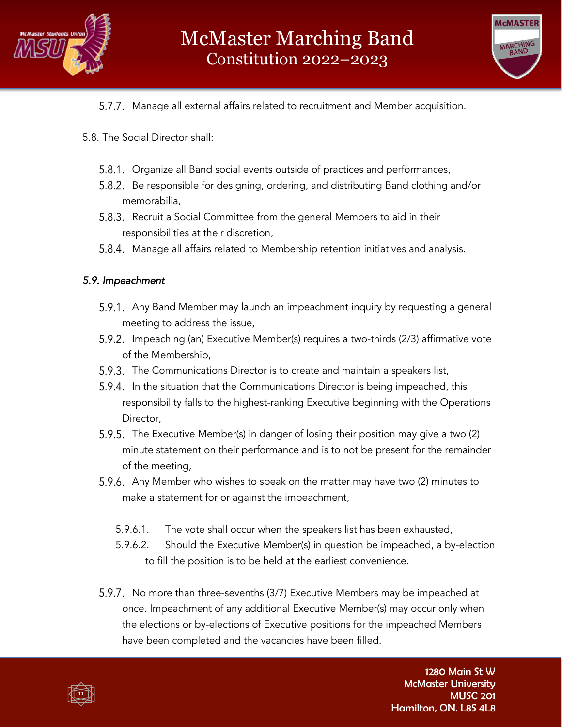



- 5.7.7. Manage all external affairs related to recruitment and Member acquisition.
- 5.8. The Social Director shall:
	- 5.8.1. Organize all Band social events outside of practices and performances,
	- Be responsible for designing, ordering, and distributing Band clothing and/or memorabilia,
	- 5.8.3. Recruit a Social Committee from the general Members to aid in their responsibilities at their discretion,
	- 5.8.4. Manage all affairs related to Membership retention initiatives and analysis.

#### *5.9. Impeachment*

- 5.9.1. Any Band Member may launch an impeachment inquiry by requesting a general meeting to address the issue,
- 5.9.2. Impeaching (an) Executive Member(s) requires a two-thirds (2/3) affirmative vote of the Membership,
- 5.9.3. The Communications Director is to create and maintain a speakers list,
- 5.9.4. In the situation that the Communications Director is being impeached, this responsibility falls to the highest-ranking Executive beginning with the Operations Director,
- 5.9.5. The Executive Member(s) in danger of losing their position may give a two (2) minute statement on their performance and is to not be present for the remainder of the meeting,
- 5.9.6. Any Member who wishes to speak on the matter may have two (2) minutes to make a statement for or against the impeachment,
	- 5.9.6.1. The vote shall occur when the speakers list has been exhausted,
	- 5.9.6.2. Should the Executive Member(s) in question be impeached, a by-election to fill the position is to be held at the earliest convenience.
- 5.9.7. No more than three-sevenths (3/7) Executive Members may be impeached at once. Impeachment of any additional Executive Member(s) may occur only when the elections or by-elections of Executive positions for the impeached Members have been completed and the vacancies have been filled.

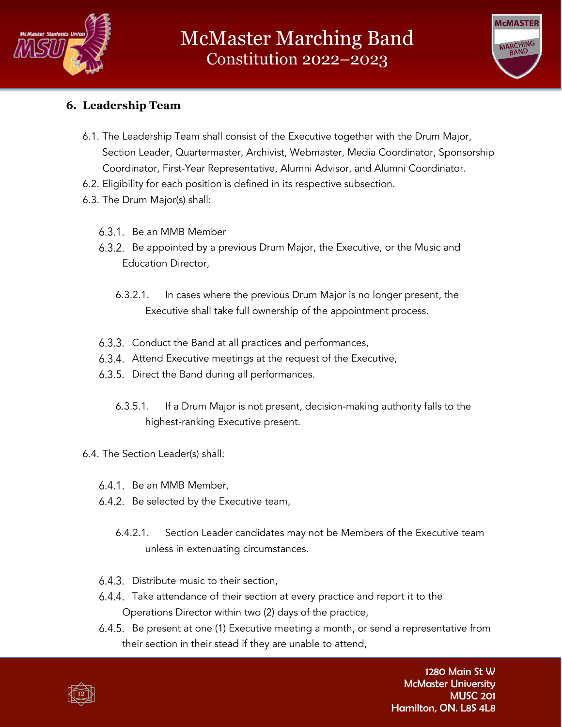



# **6. Leadership Team**

- 6.1. The Leadership Team shall consist of the Executive together with the Drum Major, Section Leader, Quartermaster, Archivist, Webmaster, Media Coordinator, Sponsorship Coordinator, First-Year Representative, Alumni Advisor, and Alumni Coordinator.
- 6.2. Eligibility for each position is defined in its respective subsection.
- 6.3. The Drum Major(s) shall:
	- 6.3.1. Be an MMB Member
	- 6.3.2. Be appointed by a previous Drum Major, the Executive, or the Music and Education Director,
		- 6.3.2.1. In cases where the previous Drum Major is no longer present, the Executive shall take full ownership of the appointment process.
	- 6.3.3. Conduct the Band at all practices and performances,
	- 6.3.4. Attend Executive meetings at the request of the Executive,
	- 6.3.5. Direct the Band during all performances.
		- 6.3.5.1. If a Drum Major is not present, decision-making authority falls to the highest-ranking Executive present.
- 6.4. The Section Leader(s) shall:
	- 6.4.1. Be an MMB Member,
	- 6.4.2. Be selected by the Executive team,
		- 6.4.2.1. Section Leader candidates may not be Members of the Executive team unless in extenuating circumstances.
	- 6.4.3. Distribute music to their section,
	- 6.4.4. Take attendance of their section at every practice and report it to the Operations Director within two (2) days of the practice,
	- 6.4.5. Be present at one (1) Executive meeting a month, or send a representative from their section in their stead if they are unable to attend,

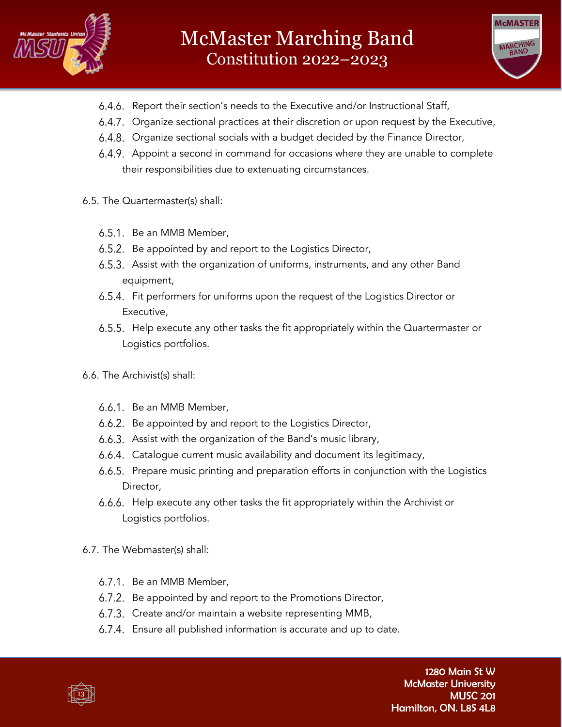



- 6.4.6. Report their section's needs to the Executive and/or Instructional Staff,
- 6.4.7. Organize sectional practices at their discretion or upon request by the Executive,
- 6.4.8. Organize sectional socials with a budget decided by the Finance Director,
- 6.4.9. Appoint a second in command for occasions where they are unable to complete their responsibilities due to extenuating circumstances.
- 6.5. The Quartermaster(s) shall:
	- 6.5.1. Be an MMB Member,
	- 6.5.2. Be appointed by and report to the Logistics Director,
	- Assist with the organization of uniforms, instruments, and any other Band equipment,
	- 6.5.4. Fit performers for uniforms upon the request of the Logistics Director or Executive,
	- 6.5.5. Help execute any other tasks the fit appropriately within the Quartermaster or Logistics portfolios.
- 6.6. The Archivist(s) shall:
	- 6.6.1. Be an MMB Member,
	- 6.6.2. Be appointed by and report to the Logistics Director,
	- 6.6.3. Assist with the organization of the Band's music library,
	- Catalogue current music availability and document its legitimacy,
	- 6.6.5. Prepare music printing and preparation efforts in conjunction with the Logistics Director,
	- 6.6.6. Help execute any other tasks the fit appropriately within the Archivist or Logistics portfolios.
- 6.7. The Webmaster(s) shall:
	- 6.7.1. Be an MMB Member,
	- 6.7.2. Be appointed by and report to the Promotions Director,
	- 6.7.3. Create and/or maintain a website representing MMB,
	- 6.7.4. Ensure all published information is accurate and up to date.

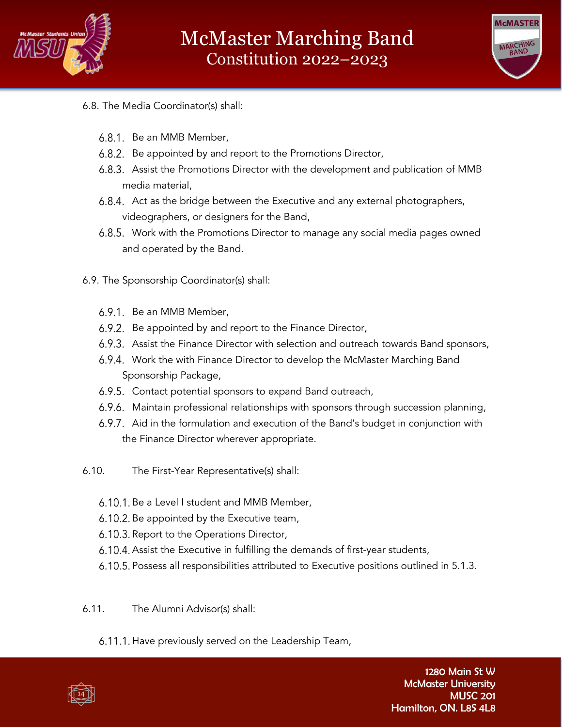



- 6.8. The Media Coordinator(s) shall:
	- 6.8.1. Be an MMB Member,
	- 6.8.2. Be appointed by and report to the Promotions Director,
	- Assist the Promotions Director with the development and publication of MMB media material,
	- 6.8.4. Act as the bridge between the Executive and any external photographers, videographers, or designers for the Band,
	- Work with the Promotions Director to manage any social media pages owned and operated by the Band.
- 6.9. The Sponsorship Coordinator(s) shall:
	- 6.9.1. Be an MMB Member,
	- 6.9.2. Be appointed by and report to the Finance Director,
	- 6.9.3. Assist the Finance Director with selection and outreach towards Band sponsors,
	- 6.9.4. Work the with Finance Director to develop the McMaster Marching Band Sponsorship Package,
	- 6.9.5. Contact potential sponsors to expand Band outreach,
	- 6.9.6. Maintain professional relationships with sponsors through succession planning,
	- 6.9.7. Aid in the formulation and execution of the Band's budget in conjunction with the Finance Director wherever appropriate.
- 6.10. The First-Year Representative(s) shall:
	- 6.10.1. Be a Level I student and MMB Member,
	- 6.10.2. Be appointed by the Executive team,
	- 6.10.3. Report to the Operations Director,
	- 6.10.4. Assist the Executive in fulfilling the demands of first-year students,
	- 6.10.5. Possess all responsibilities attributed to Executive positions outlined in 5.1.3.
- 6.11. The Alumni Advisor(s) shall:
	- 6.11.1. Have previously served on the Leadership Team,

14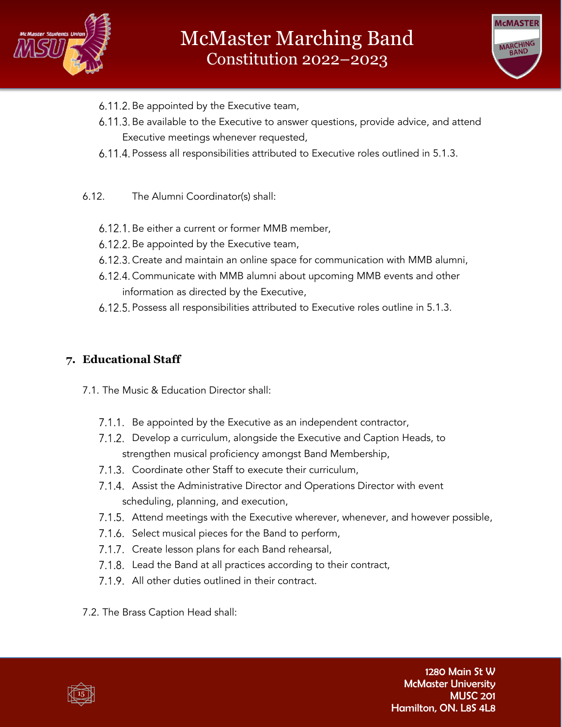



- 6.11.2. Be appointed by the Executive team,
- 6.11.3. Be available to the Executive to answer questions, provide advice, and attend Executive meetings whenever requested,
- 6.11.4. Possess all responsibilities attributed to Executive roles outlined in 5.1.3.
- 6.12. The Alumni Coordinator(s) shall:
	- 6.12.1. Be either a current or former MMB member,
	- 6.12.2. Be appointed by the Executive team,
	- 6.12.3. Create and maintain an online space for communication with MMB alumni,
	- 6.12.4. Communicate with MMB alumni about upcoming MMB events and other information as directed by the Executive,
	- 6.12.5. Possess all responsibilities attributed to Executive roles outline in 5.1.3.

# **7. Educational Staff**

- 7.1. The Music & Education Director shall:
	- 7.1.1. Be appointed by the Executive as an independent contractor,
	- 7.1.2. Develop a curriculum, alongside the Executive and Caption Heads, to strengthen musical proficiency amongst Band Membership,
	- 7.1.3. Coordinate other Staff to execute their curriculum,
	- 7.1.4. Assist the Administrative Director and Operations Director with event scheduling, planning, and execution,
	- 7.1.5. Attend meetings with the Executive wherever, whenever, and however possible,
	- 7.1.6. Select musical pieces for the Band to perform,
	- 7.1.7. Create lesson plans for each Band rehearsal,
	- 7.1.8. Lead the Band at all practices according to their contract,
	- 7.1.9. All other duties outlined in their contract.
- 7.2. The Brass Caption Head shall:

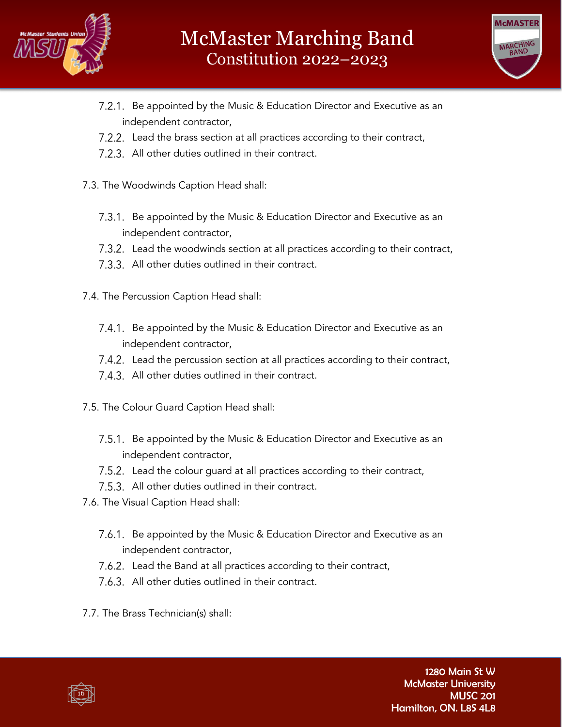



- 7.2.1. Be appointed by the Music & Education Director and Executive as an independent contractor,
- 7.2.2. Lead the brass section at all practices according to their contract,
- 7.2.3. All other duties outlined in their contract.
- 7.3. The Woodwinds Caption Head shall:
	- 7.3.1. Be appointed by the Music & Education Director and Executive as an independent contractor,
	- 7.3.2. Lead the woodwinds section at all practices according to their contract,
	- 7.3.3. All other duties outlined in their contract.
- 7.4. The Percussion Caption Head shall:
	- 7.4.1. Be appointed by the Music & Education Director and Executive as an independent contractor,
	- 7.4.2. Lead the percussion section at all practices according to their contract,
	- 7.4.3. All other duties outlined in their contract.
- 7.5. The Colour Guard Caption Head shall:
	- 7.5.1. Be appointed by the Music & Education Director and Executive as an independent contractor,
	- 7.5.2. Lead the colour guard at all practices according to their contract,
	- 7.5.3. All other duties outlined in their contract.
- 7.6. The Visual Caption Head shall:
	- 7.6.1. Be appointed by the Music & Education Director and Executive as an independent contractor,
	- 7.6.2. Lead the Band at all practices according to their contract,
	- 7.6.3. All other duties outlined in their contract.
- 7.7. The Brass Technician(s) shall:

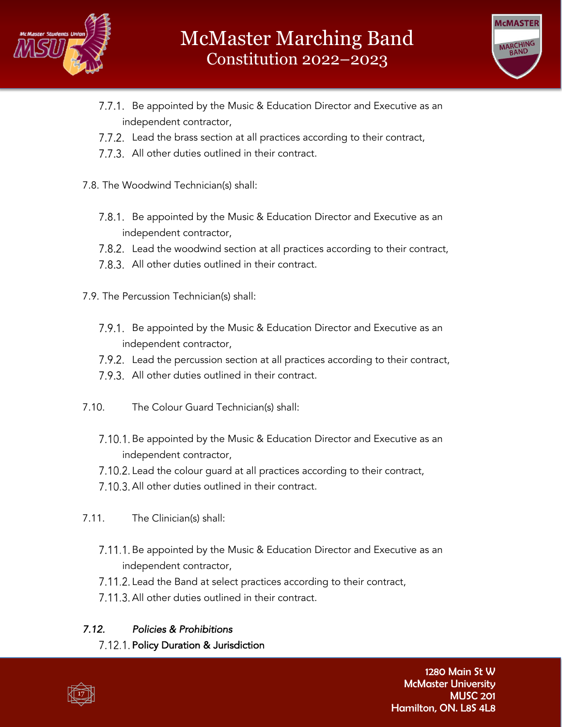



- 7.7.1. Be appointed by the Music & Education Director and Executive as an independent contractor,
- 7.7.2. Lead the brass section at all practices according to their contract,
- 7.7.3. All other duties outlined in their contract.
- 7.8. The Woodwind Technician(s) shall:
	- 7.8.1. Be appointed by the Music & Education Director and Executive as an independent contractor,
	- 7.8.2. Lead the woodwind section at all practices according to their contract,
	- 7.8.3. All other duties outlined in their contract.
- 7.9. The Percussion Technician(s) shall:
	- 7.9.1. Be appointed by the Music & Education Director and Executive as an independent contractor,
	- 7.9.2. Lead the percussion section at all practices according to their contract,
	- 7.9.3. All other duties outlined in their contract.
- 7.10. The Colour Guard Technician(s) shall:
	- 7.10.1. Be appointed by the Music & Education Director and Executive as an independent contractor,
	- 7.10.2. Lead the colour guard at all practices according to their contract,
	- 7.10.3. All other duties outlined in their contract.
- 7.11. The Clinician(s) shall:
	- 7.11.1. Be appointed by the Music & Education Director and Executive as an independent contractor,
	- 7.11.2. Lead the Band at select practices according to their contract,
	- 7.11.3. All other duties outlined in their contract.

### *7.12. Policies & Prohibitions*

7.12.1. Policy Duration & Jurisdiction

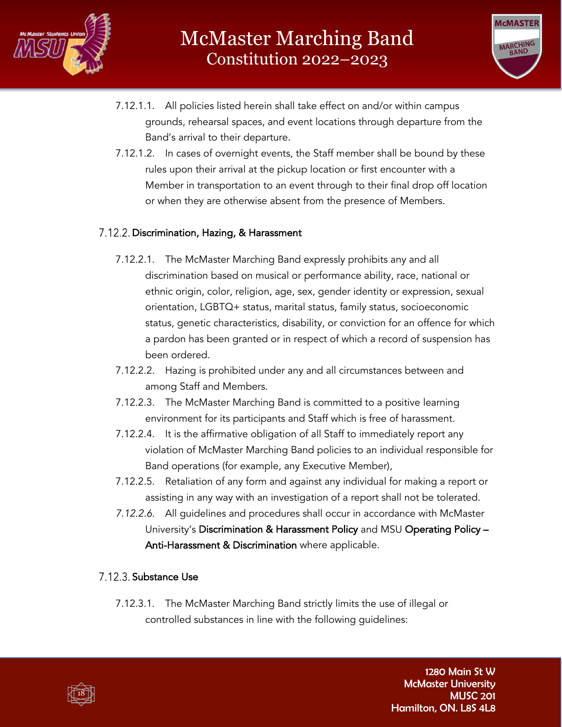



- 7.12.1.1. All policies listed herein shall take effect on and/or within campus grounds, rehearsal spaces, and event locations through departure from the Band's arrival to their departure.
- 7.12.1.2. In cases of overnight events, the Staff member shall be bound by these rules upon their arrival at the pickup location or first encounter with a Member in transportation to an event through to their final drop off location or when they are otherwise absent from the presence of Members.

#### 7.12.2. Discrimination, Hazing, & Harassment

- 7.12.2.1. The McMaster Marching Band expressly prohibits any and all discrimination based on musical or performance ability, race, national or ethnic origin, color, religion, age, sex, gender identity or expression, sexual orientation, LGBTQ+ status, marital status, family status, socioeconomic status, genetic characteristics, disability, or conviction for an offence for which a pardon has been granted or in respect of which a record of suspension has been ordered.
- 7.12.2.2. Hazing is prohibited under any and all circumstances between and among Staff and Members.
- 7.12.2.3. The McMaster Marching Band is committed to a positive learning environment for its participants and Staff which is free of harassment.
- 7.12.2.4. It is the affirmative obligation of all Staff to immediately report any violation of McMaster Marching Band policies to an individual responsible for Band operations (for example, any Executive Member),
- 7.12.2.5. Retaliation of any form and against any individual for making a report or assisting in any way with an investigation of a report shall not be tolerated.
- *7.12.2.6.* All guidelines and procedures shall occur in accordance with McMaster University's Discrimination & Harassment Policy and MSU Operating Policy – Anti-Harassment & Discrimination where applicable.

#### 7.12.3. Substance Use

7.12.3.1. The McMaster Marching Band strictly limits the use of illegal or controlled substances in line with the following guidelines:

18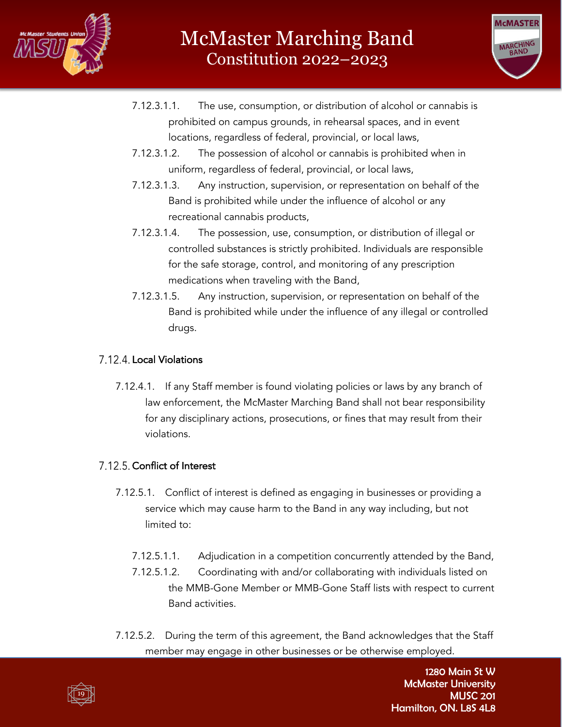



- 7.12.3.1.1. The use, consumption, or distribution of alcohol or cannabis is prohibited on campus grounds, in rehearsal spaces, and in event locations, regardless of federal, provincial, or local laws,
- 7.12.3.1.2. The possession of alcohol or cannabis is prohibited when in uniform, regardless of federal, provincial, or local laws,
- 7.12.3.1.3. Any instruction, supervision, or representation on behalf of the Band is prohibited while under the influence of alcohol or any recreational cannabis products,
- 7.12.3.1.4. The possession, use, consumption, or distribution of illegal or controlled substances is strictly prohibited. Individuals are responsible for the safe storage, control, and monitoring of any prescription medications when traveling with the Band,
- 7.12.3.1.5. Any instruction, supervision, or representation on behalf of the Band is prohibited while under the influence of any illegal or controlled drugs.

# 7.12.4. Local Violations

7.12.4.1. If any Staff member is found violating policies or laws by any branch of law enforcement, the McMaster Marching Band shall not bear responsibility for any disciplinary actions, prosecutions, or fines that may result from their violations.

### 7.12.5. Conflict of Interest

- 7.12.5.1. Conflict of interest is defined as engaging in businesses or providing a service which may cause harm to the Band in any way including, but not limited to:
	- 7.12.5.1.1. Adjudication in a competition concurrently attended by the Band,
	- 7.12.5.1.2. Coordinating with and/or collaborating with individuals listed on the MMB-Gone Member or MMB-Gone Staff lists with respect to current Band activities.
- 7.12.5.2. During the term of this agreement, the Band acknowledges that the Staff member may engage in other businesses or be otherwise employed.

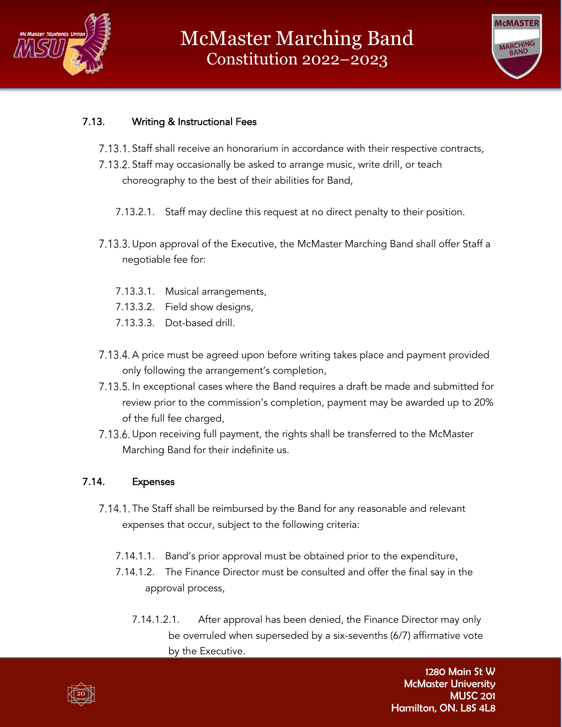



### 7.13. Writing & Instructional Fees

- 7.13.1. Staff shall receive an honorarium in accordance with their respective contracts,
- 7.13.2. Staff may occasionally be asked to arrange music, write drill, or teach choreography to the best of their abilities for Band,
	- 7.13.2.1. Staff may decline this request at no direct penalty to their position.
- 7.13.3. Upon approval of the Executive, the McMaster Marching Band shall offer Staff a negotiable fee for:
	- 7.13.3.1. Musical arrangements,
	- 7.13.3.2. Field show designs,
	- 7.13.3.3. Dot-based drill.
- 7.13.4. A price must be agreed upon before writing takes place and payment provided only following the arrangement's completion,
- 7.13.5. In exceptional cases where the Band requires a draft be made and submitted for review prior to the commission's completion, payment may be awarded up to 20% of the full fee charged,
- 7.13.6. Upon receiving full payment, the rights shall be transferred to the McMaster Marching Band for their indefinite us.

#### 7.14. Expenses

- 7.14.1. The Staff shall be reimbursed by the Band for any reasonable and relevant expenses that occur, subject to the following criteria:
	- 7.14.1.1. Band's prior approval must be obtained prior to the expenditure,
	- 7.14.1.2. The Finance Director must be consulted and offer the final say in the approval process,
		- 7.14.1.2.1. After approval has been denied, the Finance Director may only be overruled when superseded by a six-sevenths (6/7) affirmative vote by the Executive.

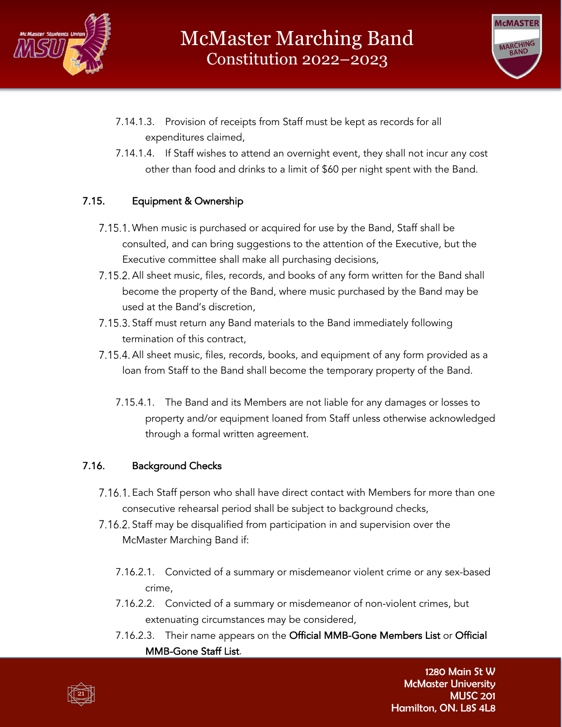



- 7.14.1.3. Provision of receipts from Staff must be kept as records for all expenditures claimed,
- 7.14.1.4. If Staff wishes to attend an overnight event, they shall not incur any cost other than food and drinks to a limit of \$60 per night spent with the Band.

#### 7.15. Equipment & Ownership

- 7.15.1. When music is purchased or acquired for use by the Band, Staff shall be consulted, and can bring suggestions to the attention of the Executive, but the Executive committee shall make all purchasing decisions,
- 7.15.2. All sheet music, files, records, and books of any form written for the Band shall become the property of the Band, where music purchased by the Band may be used at the Band's discretion,
- 7.15.3. Staff must return any Band materials to the Band immediately following termination of this contract,
- 7.15.4. All sheet music, files, records, books, and equipment of any form provided as a loan from Staff to the Band shall become the temporary property of the Band.
	- 7.15.4.1. The Band and its Members are not liable for any damages or losses to property and/or equipment loaned from Staff unless otherwise acknowledged through a formal written agreement.

#### 7.16. Background Checks

- 7.16.1. Each Staff person who shall have direct contact with Members for more than one consecutive rehearsal period shall be subject to background checks,
- 7.16.2. Staff may be disqualified from participation in and supervision over the McMaster Marching Band if:
	- 7.16.2.1. Convicted of a summary or misdemeanor violent crime or any sex-based crime,
	- 7.16.2.2. Convicted of a summary or misdemeanor of non-violent crimes, but extenuating circumstances may be considered,
	- 7.16.2.3. Their name appears on the Official MMB-Gone Members List or Official MMB-Gone Staff List.

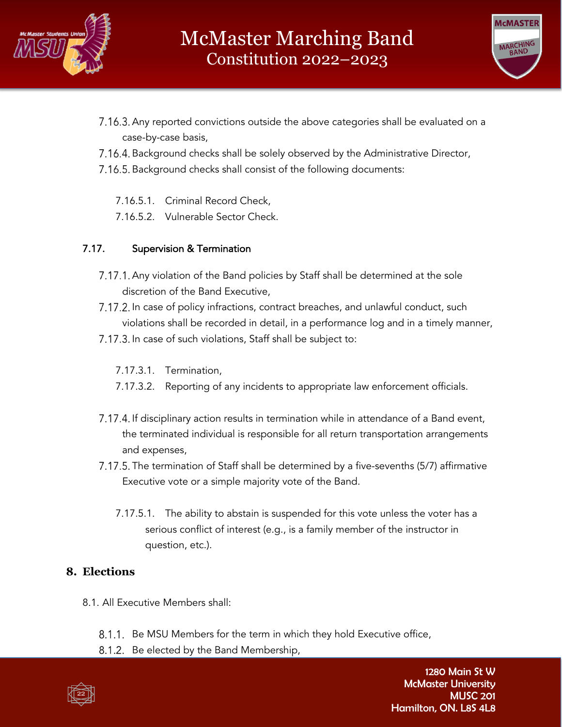



- 7.16.3. Any reported convictions outside the above categories shall be evaluated on a case-by-case basis,
- 7.16.4. Background checks shall be solely observed by the Administrative Director,
- 7.16.5. Background checks shall consist of the following documents:
	- 7.16.5.1. Criminal Record Check,
	- 7.16.5.2. Vulnerable Sector Check.

# 7.17. Supervision & Termination

- 7.17.1. Any violation of the Band policies by Staff shall be determined at the sole discretion of the Band Executive,
- 7.17.2. In case of policy infractions, contract breaches, and unlawful conduct, such violations shall be recorded in detail, in a performance log and in a timely manner,
- 7.17.3. In case of such violations, Staff shall be subject to:
	- 7.17.3.1. Termination,
	- 7.17.3.2. Reporting of any incidents to appropriate law enforcement officials.
- 7.17.4. If disciplinary action results in termination while in attendance of a Band event, the terminated individual is responsible for all return transportation arrangements and expenses,
- 7.17.5. The termination of Staff shall be determined by a five-sevenths (5/7) affirmative Executive vote or a simple majority vote of the Band.
	- 7.17.5.1. The ability to abstain is suspended for this vote unless the voter has a serious conflict of interest (e.g., is a family member of the instructor in question, etc.).

# **8. Elections**

- 8.1. All Executive Members shall:
	- 8.1.1. Be MSU Members for the term in which they hold Executive office,
	- 8.1.2. Be elected by the Band Membership,

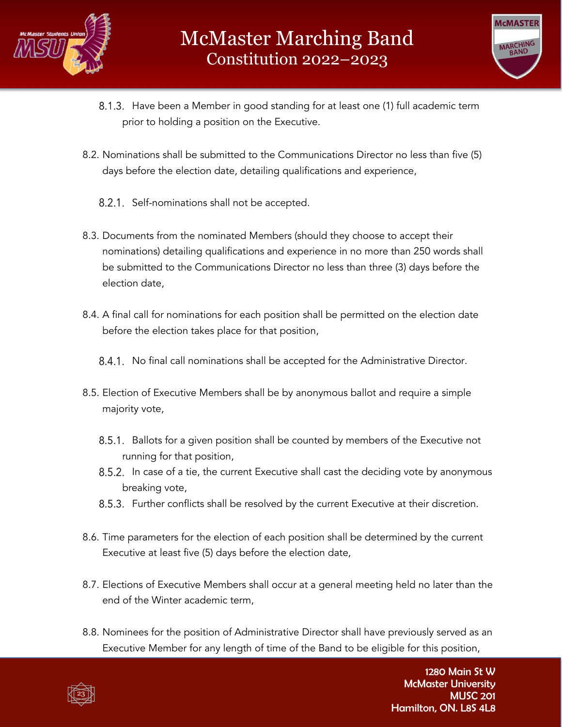



- 8.1.3. Have been a Member in good standing for at least one (1) full academic term prior to holding a position on the Executive.
- 8.2. Nominations shall be submitted to the Communications Director no less than five (5) days before the election date, detailing qualifications and experience,
	- 8.2.1. Self-nominations shall not be accepted.
- 8.3. Documents from the nominated Members (should they choose to accept their nominations) detailing qualifications and experience in no more than 250 words shall be submitted to the Communications Director no less than three (3) days before the election date,
- 8.4. A final call for nominations for each position shall be permitted on the election date before the election takes place for that position,
	- 8.4.1. No final call nominations shall be accepted for the Administrative Director.
- 8.5. Election of Executive Members shall be by anonymous ballot and require a simple majority vote,
	- 8.5.1. Ballots for a given position shall be counted by members of the Executive not running for that position,
	- 8.5.2. In case of a tie, the current Executive shall cast the deciding vote by anonymous breaking vote,
	- 8.5.3. Further conflicts shall be resolved by the current Executive at their discretion.
- 8.6. Time parameters for the election of each position shall be determined by the current Executive at least five (5) days before the election date,
- 8.7. Elections of Executive Members shall occur at a general meeting held no later than the end of the Winter academic term,
- 8.8. Nominees for the position of Administrative Director shall have previously served as an Executive Member for any length of time of the Band to be eligible for this position,

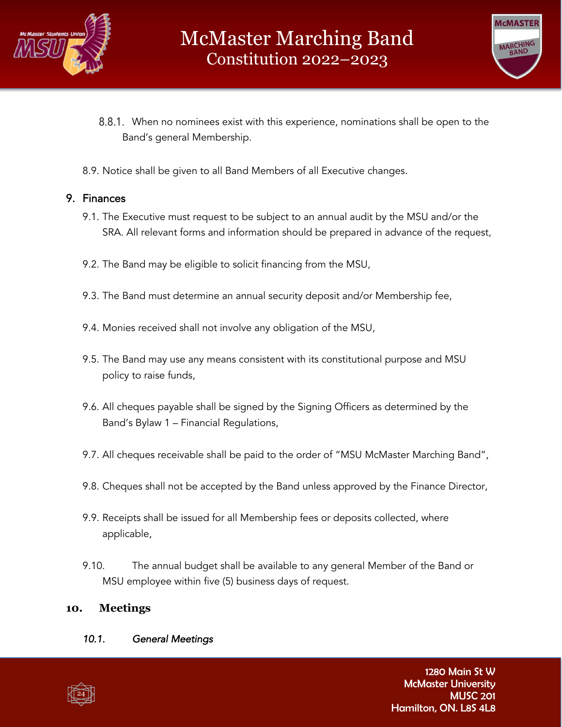



- When no nominees exist with this experience, nominations shall be open to the Band's general Membership.
- 8.9. Notice shall be given to all Band Members of all Executive changes.

#### 9. Finances

- 9.1. The Executive must request to be subject to an annual audit by the MSU and/or the SRA. All relevant forms and information should be prepared in advance of the request,
- 9.2. The Band may be eligible to solicit financing from the MSU,
- 9.3. The Band must determine an annual security deposit and/or Membership fee,
- 9.4. Monies received shall not involve any obligation of the MSU,
- 9.5. The Band may use any means consistent with its constitutional purpose and MSU policy to raise funds,
- 9.6. All cheques payable shall be signed by the Signing Officers as determined by the Band's Bylaw 1 – Financial Regulations,
- 9.7. All cheques receivable shall be paid to the order of "MSU McMaster Marching Band",
- 9.8. Cheques shall not be accepted by the Band unless approved by the Finance Director,
- 9.9. Receipts shall be issued for all Membership fees or deposits collected, where applicable,
- 9.10. The annual budget shall be available to any general Member of the Band or MSU employee within five (5) business days of request.

#### **10. Meetings**

#### *10.1. General Meetings*

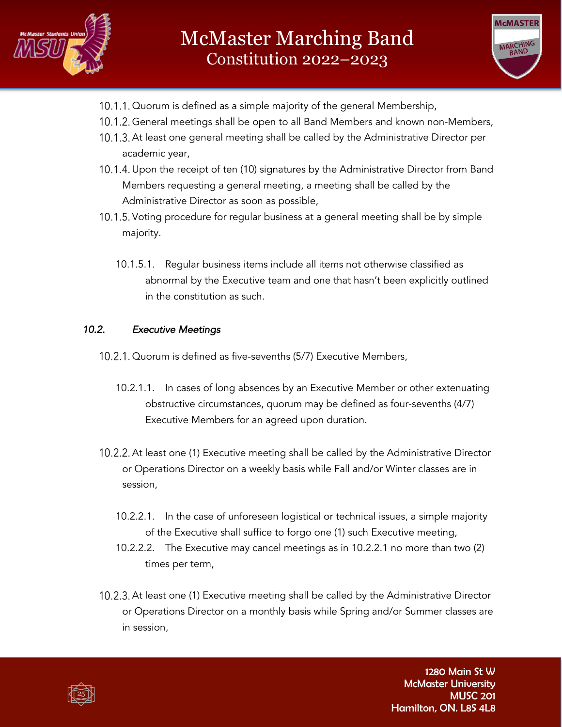



- 10.1.1. Quorum is defined as a simple majority of the general Membership,
- 10.1.2. General meetings shall be open to all Band Members and known non-Members,
- 10.1.3. At least one general meeting shall be called by the Administrative Director per academic year,
- 10.1.4. Upon the receipt of ten (10) signatures by the Administrative Director from Band Members requesting a general meeting, a meeting shall be called by the Administrative Director as soon as possible,
- 10.1.5. Voting procedure for regular business at a general meeting shall be by simple majority.
	- 10.1.5.1. Regular business items include all items not otherwise classified as abnormal by the Executive team and one that hasn't been explicitly outlined in the constitution as such.

#### *10.2. Executive Meetings*

- 10.2.1. Quorum is defined as five-sevenths (5/7) Executive Members,
	- 10.2.1.1. In cases of long absences by an Executive Member or other extenuating obstructive circumstances, quorum may be defined as four-sevenths (4/7) Executive Members for an agreed upon duration.
- 10.2.2. At least one (1) Executive meeting shall be called by the Administrative Director or Operations Director on a weekly basis while Fall and/or Winter classes are in session,
	- 10.2.2.1. In the case of unforeseen logistical or technical issues, a simple majority of the Executive shall suffice to forgo one (1) such Executive meeting,
	- 10.2.2.2. The Executive may cancel meetings as in 10.2.2.1 no more than two (2) times per term,
- 10.2.3. At least one (1) Executive meeting shall be called by the Administrative Director or Operations Director on a monthly basis while Spring and/or Summer classes are in session,